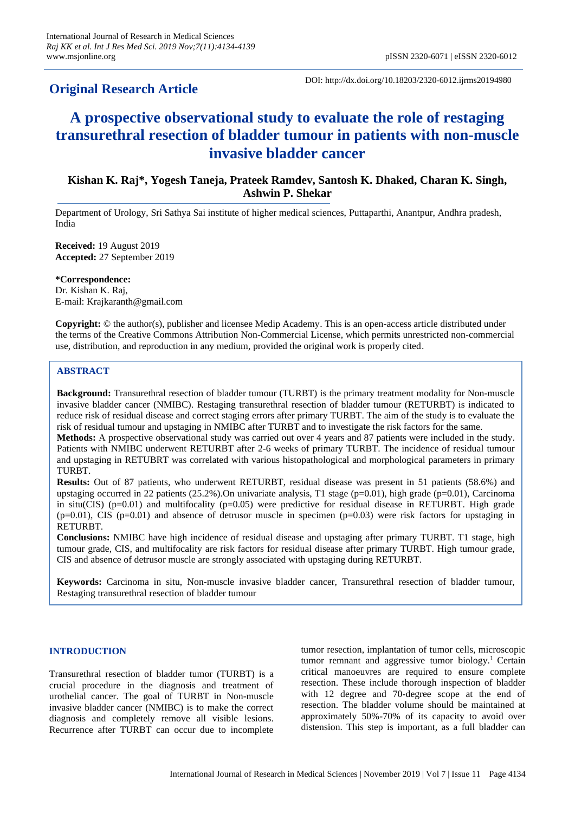# **Original Research Article**

DOI: http://dx.doi.org/10.18203/2320-6012.ijrms20194980

# **A prospective observational study to evaluate the role of restaging transurethral resection of bladder tumour in patients with non-muscle invasive bladder cancer**

# **Kishan K. Raj\*, Yogesh Taneja, Prateek Ramdev, Santosh K. Dhaked, Charan K. Singh, Ashwin P. Shekar**

Department of Urology, Sri Sathya Sai institute of higher medical sciences, Puttaparthi, Anantpur, Andhra pradesh, India

**Received:** 19 August 2019 **Accepted:** 27 September 2019

**\*Correspondence:** Dr. Kishan K. Raj, E-mail: Krajkaranth@gmail.com

**Copyright:** © the author(s), publisher and licensee Medip Academy. This is an open-access article distributed under the terms of the Creative Commons Attribution Non-Commercial License, which permits unrestricted non-commercial use, distribution, and reproduction in any medium, provided the original work is properly cited.

# **ABSTRACT**

**Background:** Transurethral resection of bladder tumour (TURBT) is the primary treatment modality for Non-muscle invasive bladder cancer (NMIBC). Restaging transurethral resection of bladder tumour (RETURBT) is indicated to reduce risk of residual disease and correct staging errors after primary TURBT. The aim of the study is to evaluate the risk of residual tumour and upstaging in NMIBC after TURBT and to investigate the risk factors for the same.

**Methods:** A prospective observational study was carried out over 4 years and 87 patients were included in the study. Patients with NMIBC underwent RETURBT after 2-6 weeks of primary TURBT. The incidence of residual tumour and upstaging in RETUBRT was correlated with various histopathological and morphological parameters in primary TURBT.

**Results:** Out of 87 patients, who underwent RETURBT, residual disease was present in 51 patients (58.6%) and upstaging occurred in 22 patients (25.2%).On univariate analysis, T1 stage ( $p=0.01$ ), high grade ( $p=0.01$ ), Carcinoma in situ(CIS) (p=0.01) and multifocality (p=0.05) were predictive for residual disease in RETURBT. High grade  $(p=0.01)$ , CIS (p=0.01) and absence of detrusor muscle in specimen (p=0.03) were risk factors for upstaging in RETURBT.

**Conclusions:** NMIBC have high incidence of residual disease and upstaging after primary TURBT. T1 stage, high tumour grade, CIS, and multifocality are risk factors for residual disease after primary TURBT. High tumour grade, CIS and absence of detrusor muscle are strongly associated with upstaging during RETURBT.

**Keywords:** Carcinoma in situ, Non-muscle invasive bladder cancer, Transurethral resection of bladder tumour, Restaging transurethral resection of bladder tumour

#### **INTRODUCTION**

Transurethral resection of bladder tumor (TURBT) is a crucial procedure in the diagnosis and treatment of urothelial cancer. The goal of TURBT in Non-muscle invasive bladder cancer (NMIBC) is to make the correct diagnosis and completely remove all visible lesions. Recurrence after TURBT can occur due to incomplete

tumor resection, implantation of tumor cells, microscopic tumor remnant and aggressive tumor biology.<sup>1</sup> Certain critical manoeuvres are required to ensure complete resection. These include thorough inspection of bladder with 12 degree and 70-degree scope at the end of resection. The bladder volume should be maintained at approximately 50%-70% of its capacity to avoid over distension. This step is important, as a full bladder can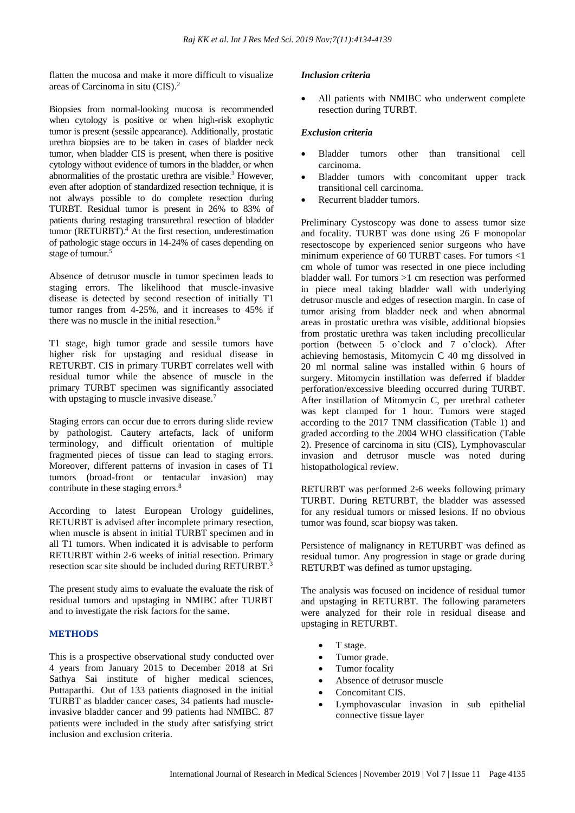flatten the mucosa and make it more difficult to visualize areas of Carcinoma in situ (CIS).<sup>2</sup>

Biopsies from normal-looking mucosa is recommended when cytology is positive or when high-risk exophytic tumor is present (sessile appearance). Additionally, prostatic urethra biopsies are to be taken in cases of bladder neck tumor, when bladder CIS is present, when there is positive cytology without evidence of tumors in the bladder, or when abnormalities of the prostatic urethra are visible.<sup>3</sup> However, even after adoption of standardized resection technique, it is not always possible to do complete resection during TURBT. Residual tumor is present in 26% to 83% of patients during restaging transurethral resection of bladder tumor (RETURBT).<sup>4</sup> At the first resection, underestimation of pathologic stage occurs in 14-24% of cases depending on stage of tumour.<sup>5</sup>

Absence of detrusor muscle in tumor specimen leads to staging errors. The likelihood that muscle-invasive disease is detected by second resection of initially T1 tumor ranges from 4-25%, and it increases to 45% if there was no muscle in the initial resection.<sup>6</sup>

T1 stage, high tumor grade and sessile tumors have higher risk for upstaging and residual disease in RETURBT. CIS in primary TURBT correlates well with residual tumor while the absence of muscle in the primary TURBT specimen was significantly associated with upstaging to muscle invasive disease.<sup>7</sup>

Staging errors can occur due to errors during slide review by pathologist. Cautery artefacts, lack of uniform terminology, and difficult orientation of multiple fragmented pieces of tissue can lead to staging errors. Moreover, different patterns of invasion in cases of T1 tumors (broad-front or tentacular invasion) may contribute in these staging errors.<sup>8</sup>

According to latest European Urology guidelines, RETURBT is advised after incomplete primary resection, when muscle is absent in initial TURBT specimen and in all T1 tumors. When indicated it is advisable to perform RETURBT within 2-6 weeks of initial resection. Primary resection scar site should be included during RETURBT.<sup>3</sup>

The present study aims to evaluate the evaluate the risk of residual tumors and upstaging in NMIBC after TURBT and to investigate the risk factors for the same.

# **METHODS**

This is a prospective observational study conducted over 4 years from January 2015 to December 2018 at Sri Sathya Sai institute of higher medical sciences, Puttaparthi. Out of 133 patients diagnosed in the initial TURBT as bladder cancer cases, 34 patients had muscleinvasive bladder cancer and 99 patients had NMIBC. 87 patients were included in the study after satisfying strict inclusion and exclusion criteria.

#### *Inclusion criteria*

All patients with NMIBC who underwent complete resection during TURBT.

#### *Exclusion criteria*

- Bladder tumors other than transitional cell carcinoma.
- Bladder tumors with concomitant upper track transitional cell carcinoma.
- Recurrent bladder tumors.

Preliminary Cystoscopy was done to assess tumor size and focality. TURBT was done using 26 F monopolar resectoscope by experienced senior surgeons who have minimum experience of 60 TURBT cases. For tumors <1 cm whole of tumor was resected in one piece including bladder wall. For tumors >1 cm resection was performed in piece meal taking bladder wall with underlying detrusor muscle and edges of resection margin. In case of tumor arising from bladder neck and when abnormal areas in prostatic urethra was visible, additional biopsies from prostatic urethra was taken including precollicular portion (between 5 o'clock and 7 o'clock). After achieving hemostasis, Mitomycin C 40 mg dissolved in 20 ml normal saline was installed within 6 hours of surgery. Mitomycin instillation was deferred if bladder perforation/excessive bleeding occurred during TURBT. After instillation of Mitomycin C, per urethral catheter was kept clamped for 1 hour. Tumors were staged according to the 2017 TNM classification (Table 1) and graded according to the 2004 WHO classification (Table 2). Presence of carcinoma in situ (CIS), Lymphovascular invasion and detrusor muscle was noted during histopathological review.

RETURBT was performed 2-6 weeks following primary TURBT. During RETURBT, the bladder was assessed for any residual tumors or missed lesions. If no obvious tumor was found, scar biopsy was taken.

Persistence of malignancy in RETURBT was defined as residual tumor. Any progression in stage or grade during RETURBT was defined as tumor upstaging.

The analysis was focused on incidence of residual tumor and upstaging in RETURBT. The following parameters were analyzed for their role in residual disease and upstaging in RETURBT.

- T stage.
- Tumor grade.
- Tumor focality
- Absence of detrusor muscle
- Concomitant CIS.
- Lymphovascular invasion in sub epithelial connective tissue layer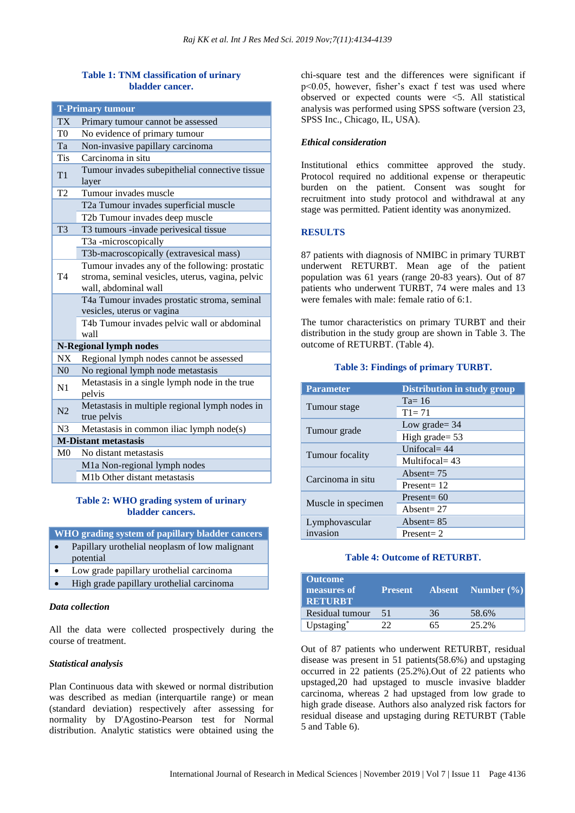#### **Table 1: TNM classification of urinary bladder cancer.**

| <b>T-Primary tumour</b>     |                                                                                                                            |  |  |  |
|-----------------------------|----------------------------------------------------------------------------------------------------------------------------|--|--|--|
| <b>TX</b>                   | Primary tumour cannot be assessed                                                                                          |  |  |  |
| T <sub>0</sub>              | No evidence of primary tumour                                                                                              |  |  |  |
| Ta                          | Non-invasive papillary carcinoma                                                                                           |  |  |  |
| <b>Tis</b>                  | Carcinoma in situ                                                                                                          |  |  |  |
| T1                          | Tumour invades subepithelial connective tissue<br>layer                                                                    |  |  |  |
| T <sub>2</sub>              | Tumour invades muscle                                                                                                      |  |  |  |
|                             | T2a Tumour invades superficial muscle                                                                                      |  |  |  |
|                             | T2b Tumour invades deep muscle                                                                                             |  |  |  |
| T <sub>3</sub>              | T3 tumours -invade perivesical tissue                                                                                      |  |  |  |
|                             | T3a -microscopically                                                                                                       |  |  |  |
|                             | T3b-macroscopically (extravesical mass)                                                                                    |  |  |  |
| T4                          | Tumour invades any of the following: prostatic<br>stroma, seminal vesicles, uterus, vagina, pelvic<br>wall, abdominal wall |  |  |  |
|                             | T4a Tumour invades prostatic stroma, seminal<br>vesicles, uterus or vagina                                                 |  |  |  |
|                             | T4b Tumour invades pelvic wall or abdominal<br>wall                                                                        |  |  |  |
|                             | <b>N-Regional lymph nodes</b>                                                                                              |  |  |  |
| <b>NX</b>                   | Regional lymph nodes cannot be assessed                                                                                    |  |  |  |
| N <sub>0</sub>              | No regional lymph node metastasis                                                                                          |  |  |  |
| N <sub>1</sub>              | Metastasis in a single lymph node in the true<br>pelvis                                                                    |  |  |  |
| N2                          | Metastasis in multiple regional lymph nodes in<br>true pelvis                                                              |  |  |  |
| N <sub>3</sub>              | Metastasis in common iliac lymph node(s)                                                                                   |  |  |  |
| <b>M-Distant metastasis</b> |                                                                                                                            |  |  |  |
| M <sub>0</sub>              | No distant metastasis                                                                                                      |  |  |  |
|                             | M1a Non-regional lymph nodes                                                                                               |  |  |  |
|                             | M1b Other distant metastasis                                                                                               |  |  |  |

# **Table 2: WHO grading system of urinary bladder cancers.**

| WHO grading system of papillary bladder cancers |  |
|-------------------------------------------------|--|
|-------------------------------------------------|--|

- Papillary urothelial neoplasm of low malignant potential
- Low grade papillary urothelial carcinoma
- High grade papillary urothelial carcinoma

#### *Data collection*

All the data were collected prospectively during the course of treatment.

#### *Statistical analysis*

Plan Continuous data with skewed or normal distribution was described as median (interquartile range) or mean (standard deviation) respectively after assessing for normality by D'Agostino-Pearson test for Normal distribution. Analytic statistics were obtained using the chi-square test and the differences were significant if p<0.05, however, fisher's exact f test was used where observed or expected counts were <5. All statistical analysis was performed using SPSS software (version 23, SPSS Inc., Chicago, IL, USA).

#### *Ethical consideration*

Institutional ethics committee approved the study. Protocol required no additional expense or therapeutic burden on the patient. Consent was sought for recruitment into study protocol and withdrawal at any stage was permitted. Patient identity was anonymized.

#### **RESULTS**

87 patients with diagnosis of NMIBC in primary TURBT underwent RETURBT. Mean age of the patient population was 61 years (range 20-83 years). Out of 87 patients who underwent TURBT, 74 were males and 13 were females with male: female ratio of 6:1.

The tumor characteristics on primary TURBT and their distribution in the study group are shown in Table 3. The outcome of RETURBT. (Table 4).

#### **Table 3: Findings of primary TURBT.**

| <b>Parameter</b>   | Distribution in study group |  |  |
|--------------------|-----------------------------|--|--|
|                    | $Ta=16$                     |  |  |
| Tumour stage       | $T1 = 71$                   |  |  |
|                    | Low grade $=$ 34            |  |  |
| Tumour grade       | High grade= 53              |  |  |
|                    | Unifocal $=$ 44             |  |  |
| Tumour focality    | Multifocal $= 43$           |  |  |
| Carcinoma in situ  | Absent= $75$                |  |  |
|                    | Present $= 12$              |  |  |
|                    | Present $= 60$              |  |  |
| Muscle in specimen | Absent= $27$                |  |  |
| Lymphovascular     | Absent= $85$                |  |  |
| invasion           | $Present = 2$               |  |  |

#### **Table 4: Outcome of RETURBT.**

| <b>Outcome</b><br>measures of<br><b>RETURBT</b> | <b>Present</b> |    | Absent Number $(\% )$ |
|-------------------------------------------------|----------------|----|-----------------------|
| Residual tumour                                 | 51             | 36 | 58.6%                 |
| Upstaging*                                      | つつ             | 65 | 25.2%                 |

Out of 87 patients who underwent RETURBT, residual disease was present in 51 patients(58.6%) and upstaging occurred in 22 patients (25.2%).Out of 22 patients who upstaged,20 had upstaged to muscle invasive bladder carcinoma, whereas 2 had upstaged from low grade to high grade disease. Authors also analyzed risk factors for residual disease and upstaging during RETURBT (Table 5 and Table 6).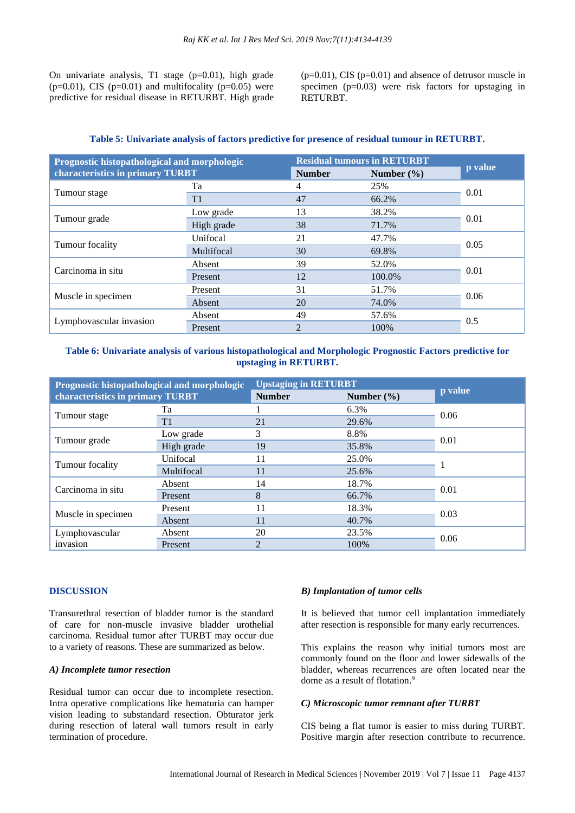On univariate analysis, T1 stage (p=0.01), high grade  $(p=0.01)$ , CIS  $(p=0.01)$  and multifocality  $(p=0.05)$  were predictive for residual disease in RETURBT. High grade  $(p=0.01)$ , CIS  $(p=0.01)$  and absence of detrusor muscle in specimen (p=0.03) were risk factors for upstaging in RETURBT.

| Prognostic histopathological and morphologic<br>characteristics in primary TURBT |            | <b>Residual tumours in RETURBT</b> |                |         |
|----------------------------------------------------------------------------------|------------|------------------------------------|----------------|---------|
|                                                                                  |            | <b>Number</b>                      | Number $(\% )$ | p value |
|                                                                                  | Ta         | 4                                  | 25%            |         |
| Tumour stage                                                                     | T1         | 47                                 | 66.2%          | 0.01    |
|                                                                                  | Low grade  | 13                                 | 38.2%          | 0.01    |
| Tumour grade                                                                     | High grade | 38                                 | 71.7%          |         |
|                                                                                  | Unifocal   | 21                                 | 47.7%          |         |
| Tumour focality                                                                  | Multifocal | 30                                 | 69.8%          | 0.05    |
| Carcinoma in situ                                                                | Absent     | 39                                 | 52.0%          |         |
|                                                                                  | Present    | 12                                 | 100.0%         | 0.01    |
|                                                                                  | Present    | 31                                 | 51.7%          |         |
| Muscle in specimen                                                               | Absent     | 20                                 | 74.0%          | 0.06    |
|                                                                                  | Absent     | 49                                 | 57.6%          |         |
| Lymphovascular invasion                                                          | Present    | $\mathfrak{D}$                     | 100%           | 0.5     |

#### **Table 5: Univariate analysis of factors predictive for presence of residual tumour in RETURBT.**

# **Table 6: Univariate analysis of various histopathological and Morphologic Prognostic Factors predictive for upstaging in RETURBT.**

| Prognostic histopathological and morphologic |            | <b>Upstaging in RETURBT</b> | p value        |      |  |
|----------------------------------------------|------------|-----------------------------|----------------|------|--|
| characteristics in primary TURBT             |            | <b>Number</b>               | Number $(\% )$ |      |  |
| Tumour stage                                 | Ta         |                             | 6.3%           | 0.06 |  |
|                                              | T1         | 21                          | 29.6%          |      |  |
|                                              | Low grade  | 3                           | 8.8%           | 0.01 |  |
| Tumour grade                                 | High grade | 19                          | 35.8%          |      |  |
| Tumour focality                              | Unifocal   | 11                          | 25.0%          |      |  |
|                                              | Multifocal | 11                          | 25.6%          |      |  |
| Carcinoma in situ                            | Absent     | 14                          | 18.7%          | 0.01 |  |
|                                              | Present    | 8                           | 66.7%          |      |  |
| Muscle in specimen                           | Present    | 11                          | 18.3%          | 0.03 |  |
|                                              | Absent     | 11                          | 40.7%          |      |  |
| Lymphovascular                               | Absent     | 20                          | 23.5%          | 0.06 |  |
| invasion                                     | Present    | $\mathfrak{D}$              | 100%           |      |  |

#### **DISCUSSION**

Transurethral resection of bladder tumor is the standard of care for non-muscle invasive bladder urothelial carcinoma. Residual tumor after TURBT may occur due to a variety of reasons. These are summarized as below.

#### *A) Incomplete tumor resection*

Residual tumor can occur due to incomplete resection. Intra operative complications like hematuria can hamper vision leading to substandard resection. Obturator jerk during resection of lateral wall tumors result in early termination of procedure.

#### *B) Implantation of tumor cells*

It is believed that tumor cell implantation immediately after resection is responsible for many early recurrences.

This explains the reason why initial tumors most are commonly found on the floor and lower sidewalls of the bladder, whereas recurrences are often located near the dome as a result of flotation. 9

#### *C) Microscopic tumor remnant after TURBT*

CIS being a flat tumor is easier to miss during TURBT. Positive margin after resection contribute to recurrence.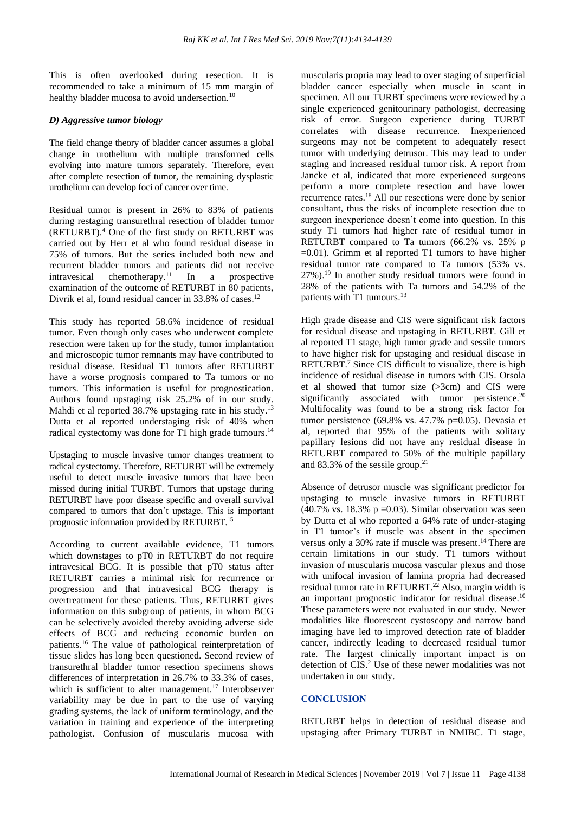This is often overlooked during resection. It is recommended to take a minimum of 15 mm margin of healthy bladder mucosa to avoid undersection.<sup>10</sup>

# *D) Aggressive tumor biology*

The field change theory of bladder cancer assumes a global change in urothelium with multiple transformed cells evolving into mature tumors separately. Therefore, even after complete resection of tumor, the remaining dysplastic urothelium can develop foci of cancer over time.

Residual tumor is present in 26% to 83% of patients during restaging transurethral resection of bladder tumor (RETURBT). <sup>4</sup> One of the first study on RETURBT was carried out by Herr et al who found residual disease in 75% of tumors. But the series included both new and recurrent bladder tumors and patients did not receive intravesical chemotherapy. <sup>11</sup> In a prospective examination of the outcome of RETURBT in 80 patients, Divrik et al, found residual cancer in 33.8% of cases.<sup>12</sup>

This study has reported 58.6% incidence of residual tumor. Even though only cases who underwent complete resection were taken up for the study, tumor implantation and microscopic tumor remnants may have contributed to residual disease. Residual T1 tumors after RETURBT have a worse prognosis compared to Ta tumors or no tumors. This information is useful for prognostication. Authors found upstaging risk 25.2% of in our study. Mahdi et al reported 38.7% upstaging rate in his study.<sup>13</sup> Dutta et al reported understaging risk of 40% when radical cystectomy was done for T1 high grade tumours.<sup>14</sup>

Upstaging to muscle invasive tumor changes treatment to radical cystectomy. Therefore, RETURBT will be extremely useful to detect muscle invasive tumors that have been missed during initial TURBT. Tumors that upstage during RETURBT have poor disease specific and overall survival compared to tumors that don't upstage. This is important prognostic information provided by RETURBT. 15

According to current available evidence, T1 tumors which downstages to pT0 in RETURBT do not require intravesical BCG. It is possible that pT0 status after RETURBT carries a minimal risk for recurrence or progression and that intravesical BCG therapy is overtreatment for these patients. Thus, RETURBT gives information on this subgroup of patients, in whom BCG can be selectively avoided thereby avoiding adverse side effects of BCG and reducing economic burden on patients. <sup>16</sup> The value of pathological reinterpretation of tissue slides has long been questioned. Second review of transurethral bladder tumor resection specimens shows differences of interpretation in 26.7% to 33.3% of cases, which is sufficient to alter management.<sup>17</sup> Interobserver variability may be due in part to the use of varying grading systems, the lack of uniform terminology, and the variation in training and experience of the interpreting pathologist. Confusion of muscularis mucosa with muscularis propria may lead to over staging of superficial bladder cancer especially when muscle in scant in specimen. All our TURBT specimens were reviewed by a single experienced genitourinary pathologist, decreasing risk of error. Surgeon experience during TURBT correlates with disease recurrence. Inexperienced surgeons may not be competent to adequately resect tumor with underlying detrusor. This may lead to under staging and increased residual tumor risk. A report from Jancke et al, indicated that more experienced surgeons perform a more complete resection and have lower recurrence rates. <sup>18</sup> All our resections were done by senior consultant, thus the risks of incomplete resection due to surgeon inexperience doesn't come into question. In this study T1 tumors had higher rate of residual tumor in RETURBT compared to Ta tumors (66.2% vs. 25% p  $=0.01$ ). Grimm et al reported T1 tumors to have higher residual tumor rate compared to Ta tumors (53% vs. 27%). <sup>19</sup> In another study residual tumors were found in 28% of the patients with Ta tumors and 54.2% of the patients with T1 tumours. 13

High grade disease and CIS were significant risk factors for residual disease and upstaging in RETURBT. Gill et al reported T1 stage, high tumor grade and sessile tumors to have higher risk for upstaging and residual disease in RETURBT. <sup>7</sup> Since CIS difficult to visualize, there is high incidence of residual disease in tumors with CIS. Orsola et al showed that tumor size (>3cm) and CIS were significantly associated with tumor persistence.<sup>20</sup> Multifocality was found to be a strong risk factor for tumor persistence (69.8% vs. 47.7% p=0.05). Devasia et al, reported that 95% of the patients with solitary papillary lesions did not have any residual disease in RETURBT compared to 50% of the multiple papillary and 83.3% of the sessile group. 21

Absence of detrusor muscle was significant predictor for upstaging to muscle invasive tumors in RETURBT  $(40.7\%$  vs. 18.3% p =0.03). Similar observation was seen by Dutta et al who reported a 64% rate of under-staging in T1 tumor's if muscle was absent in the specimen versus only a 30% rate if muscle was present. <sup>14</sup> There are certain limitations in our study. T1 tumors without invasion of muscularis mucosa vascular plexus and those with unifocal invasion of lamina propria had decreased residual tumor rate in RETURBT. <sup>22</sup> Also, margin width is an important prognostic indicator for residual disease.<sup>10</sup> These parameters were not evaluated in our study. Newer modalities like fluorescent cystoscopy and narrow band imaging have led to improved detection rate of bladder cancer, indirectly leading to decreased residual tumor rate. The largest clinically important impact is on detection of CIS. <sup>2</sup> Use of these newer modalities was not undertaken in our study.

# **CONCLUSION**

RETURBT helps in detection of residual disease and upstaging after Primary TURBT in NMIBC. T1 stage,